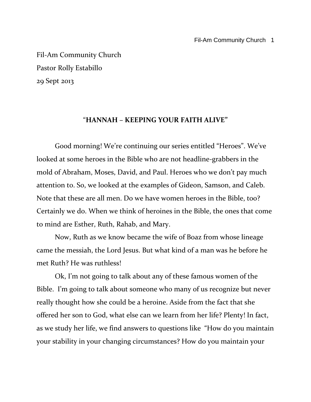Fil-Am Community Church Pastor Rolly Estabillo 29 Sept 2013

#### "**HANNAH – KEEPING YOUR FAITH ALIVE"**

Good morning! We're continuing our series entitled "Heroes". We've looked at some heroes in the Bible who are not headline-grabbers in the mold of Abraham, Moses, David, and Paul. Heroes who we don't pay much attention to. So, we looked at the examples of Gideon, Samson, and Caleb. Note that these are all men. Do we have women heroes in the Bible, too? Certainly we do. When we think of heroines in the Bible, the ones that come to mind are Esther, Ruth, Rahab, and Mary.

Now, Ruth as we know became the wife of Boaz from whose lineage came the messiah, the Lord Jesus. But what kind of a man was he before he met Ruth? He was ruthless!

Ok, I'm not going to talk about any of these famous women of the Bible. I'm going to talk about someone who many of us recognize but never really thought how she could be a heroine. Aside from the fact that she offered her son to God, what else can we learn from her life? Plenty! In fact, as we study her life, we find answers to questions like "How do you maintain your stability in your changing circumstances? How do you maintain your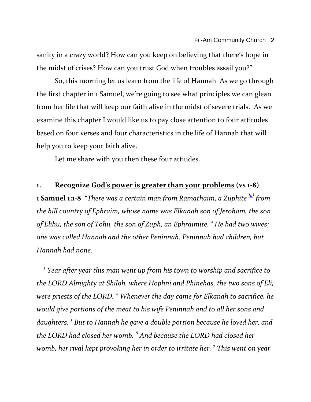sanity in a crazy world? How can you keep on believing that there's hope in the midst of crises? How can you trust God when troubles assail you?"

So, this morning let us learn from the life of Hannah. As we go through the first chapter in 1 Samuel, we're going to see what principles we can glean from her life that will keep our faith alive in the midst of severe trials. As we examine this chapter I would like us to pay close attention to four attitudes based on four verses and four characteristics in the life of Hannah that will help you to keep your faith alive.

Let me share with you then these four attiudes.

# **1. Recognize God's power is greater than your problems (vs 1-8)**

**1 Samuel 1:1-8** *"There was a certain man from Ramathaim, a Zuphite [\[a\]](http://www.biblegateway.com/passage/?search=1%20samuel%201:1-8;&version=31;#fen-NIV-7214a) from the hill country of Ephraim, whose name was Elkanah son of Jeroham, the son of Elihu, the son of Tohu, the son of Zuph, an Ephraimite. <sup>2</sup> He had two wives; one was called Hannah and the other Peninnah. Peninnah had children, but Hannah had none.* 

*3 Year after year this man went up from his town to worship and sacrifice to the LORD Almighty at Shiloh, where Hophni and Phinehas, the two sons of Eli, were priests of the LORD. <sup>4</sup> Whenever the day came for Elkanah to sacrifice, he would give portions of the meat to his wife Peninnah and to all her sons and daughters. <sup>5</sup> But to Hannah he gave a double portion because he loved her, and the LORD had closed her womb. <sup>6</sup> And because the LORD had closed her womb, her rival kept provoking her in order to irritate her. <sup>7</sup> This went on year*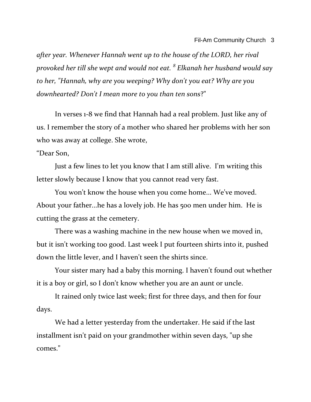*after year. Whenever Hannah went up to the house of the LORD, her rival provoked her till she wept and would not eat. <sup>8</sup> Elkanah her husband would say to her, "Hannah, why are you weeping? Why don't you eat? Why are you downhearted? Don't I mean more to you than ten sons*?"

In verses 1-8 we find that Hannah had a real problem. Just like any of us. I remember the story of a mother who shared her problems with her son who was away at college. She wrote,

#### "Dear Son,

Just a few lines to let you know that I am still alive. I'm writing this letter slowly because I know that you cannot read very fast.

You won't know the house when you come home... We've moved. About your father...he has a lovely job. He has 500 men under him. He is cutting the grass at the cemetery.

There was a washing machine in the new house when we moved in, but it isn't working too good. Last week I put fourteen shirts into it, pushed down the little lever, and I haven't seen the shirts since.

Your sister mary had a baby this morning. I haven't found out whether it is a boy or girl, so I don't know whether you are an aunt or uncle.

It rained only twice last week; first for three days, and then for four days.

We had a letter yesterday from the undertaker. He said if the last installment isn't paid on your grandmother within seven days, "up she comes."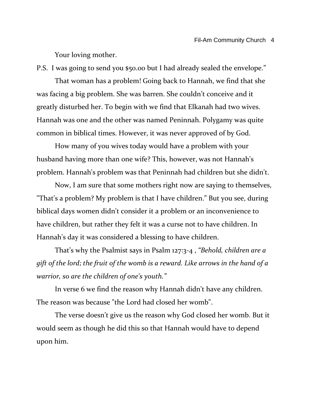Your loving mother.

P.S. I was going to send you \$50.00 but I had already sealed the envelope."

That woman has a problem! Going back to Hannah, we find that she was facing a big problem. She was barren. She couldn't conceive and it greatly disturbed her. To begin with we find that Elkanah had two wives. Hannah was one and the other was named Peninnah. Polygamy was quite common in biblical times. However, it was never approved of by God.

How many of you wives today would have a problem with your husband having more than one wife? This, however, was not Hannah's problem. Hannah's problem was that Peninnah had children but she didn't.

Now, I am sure that some mothers right now are saying to themselves, "That's a problem? My problem is that I have children." But you see, during biblical days women didn't consider it a problem or an inconvenience to have children, but rather they felt it was a curse not to have children. In Hannah's day it was considered a blessing to have children.

That's why the Psalmist says in Psalm 127:3-4 , *"Behold, children are a gift of the lord; the fruit of the womb is a reward. Like arrows in the hand of a warrior, so are the children of one's youth."*

In verse 6 we find the reason why Hannah didn't have any children. The reason was because "the Lord had closed her womb".

The verse doesn't give us the reason why God closed her womb. But it would seem as though he did this so that Hannah would have to depend upon him.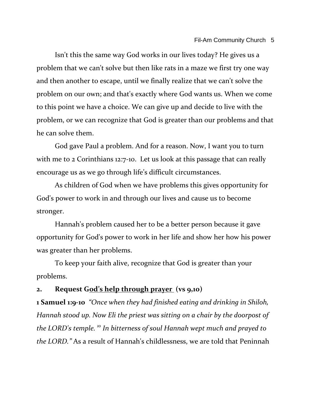Isn't this the same way God works in our lives today? He gives us a problem that we can't solve but then like rats in a maze we first try one way and then another to escape, until we finally realize that we can't solve the problem on our own; and that's exactly where God wants us. When we come to this point we have a choice. We can give up and decide to live with the problem, or we can recognize that God is greater than our problems and that he can solve them.

God gave Paul a problem. And for a reason. Now, I want you to turn with me to 2 Corinthians 12:7-10. Let us look at this passage that can really encourage us as we go through life's difficult circumstances.

As children of God when we have problems this gives opportunity for God's power to work in and through our lives and cause us to become stronger.

Hannah's problem caused her to be a better person because it gave opportunity for God's power to work in her life and show her how his power was greater than her problems.

To keep your faith alive, recognize that God is greater than your problems.

### **2. Request God's help through prayer (vs 9,10)**

**1 Samuel 1:9-10** *"Once when they had finished eating and drinking in Shiloh, Hannah stood up. Now Eli the priest was sitting on a chair by the doorpost of the LORD's temple. <sup>10</sup> In bitterness of soul Hannah wept much and prayed to the LORD."* As a result of Hannah's childlessness, we are told that Peninnah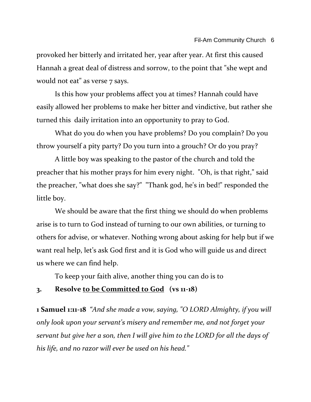provoked her bitterly and irritated her, year after year. At first this caused Hannah a great deal of distress and sorrow, to the point that "she wept and would not eat" as verse 7 says.

Is this how your problems affect you at times? Hannah could have easily allowed her problems to make her bitter and vindictive, but rather she turned this daily irritation into an opportunity to pray to God.

What do you do when you have problems? Do you complain? Do you throw yourself a pity party? Do you turn into a grouch? Or do you pray?

A little boy was speaking to the pastor of the church and told the preacher that his mother prays for him every night. "Oh, is that right," said the preacher, "what does she say?" "Thank god, he's in bed!" responded the little boy.

We should be aware that the first thing we should do when problems arise is to turn to God instead of turning to our own abilities, or turning to others for advise, or whatever. Nothing wrong about asking for help but if we want real help, let's ask God first and it is God who will guide us and direct us where we can find help.

To keep your faith alive, another thing you can do is to

## **3. Resolve to be Committed to God (vs 11-18)**

**1 Samuel 1:11-18** *"And she made a vow, saying, "O LORD Almighty, if you will only look upon your servant's misery and remember me, and not forget your servant but give her a son, then I will give him to the LORD for all the days of his life, and no razor will ever be used on his head."*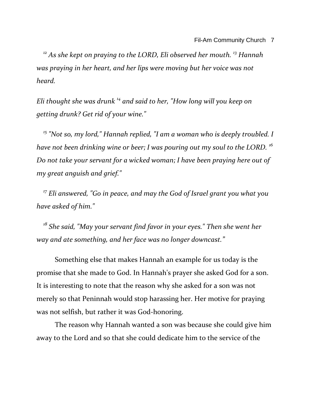*<sup>12</sup> As she kept on praying to the LORD, Eli observed her mouth. <sup>13</sup> Hannah was praying in her heart, and her lips were moving but her voice was not heard.* 

*Eli thought she was drunk <sup>14</sup> and said to her, "How long will you keep on getting drunk? Get rid of your wine."* 

*<sup>15</sup> "Not so, my lord," Hannah replied, "I am a woman who is deeply troubled. I have not been drinking wine or beer; I was pouring out my soul to the LORD. <sup>16</sup> Do not take your servant for a wicked woman; I have been praying here out of my great anguish and grief."* 

*<sup>17</sup> Eli answered, "Go in peace, and may the God of Israel grant you what you have asked of him."* 

*<sup>18</sup> She said, "May your servant find favor in your eyes." Then she went her way and ate something, and her face was no longer downcast."*

Something else that makes Hannah an example for us today is the promise that she made to God. In Hannah's prayer she asked God for a son. It is interesting to note that the reason why she asked for a son was not merely so that Peninnah would stop harassing her. Her motive for praying was not selfish, but rather it was God-honoring.

The reason why Hannah wanted a son was because she could give him away to the Lord and so that she could dedicate him to the service of the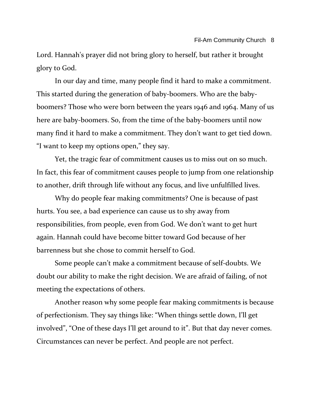Lord. Hannah's prayer did not bring glory to herself, but rather it brought glory to God.

In our day and time, many people find it hard to make a commitment. This started during the generation of baby-boomers. Who are the babyboomers? Those who were born between the years 1946 and 1964. Many of us here are baby-boomers. So, from the time of the baby-boomers until now many find it hard to make a commitment. They don't want to get tied down. "I want to keep my options open," they say.

Yet, the tragic fear of commitment causes us to miss out on so much. In fact, this fear of commitment causes people to jump from one relationship to another, drift through life without any focus, and live unfulfilled lives.

Why do people fear making commitments? One is because of past hurts. You see, a bad experience can cause us to shy away from responsibilities, from people, even from God. We don't want to get hurt again. Hannah could have become bitter toward God because of her barrenness but she chose to commit herself to God.

Some people can't make a commitment because of self-doubts. We doubt our ability to make the right decision. We are afraid of failing, of not meeting the expectations of others.

Another reason why some people fear making commitments is because of perfectionism. They say things like: "When things settle down, I'll get involved", "One of these days I'll get around to it". But that day never comes. Circumstances can never be perfect. And people are not perfect.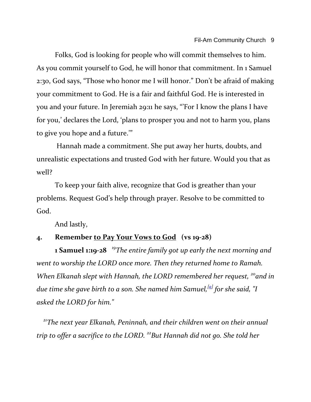Folks, God is looking for people who will commit themselves to him. As you commit yourself to God, he will honor that commitment. In 1 Samuel 2:30, God says, "Those who honor me I will honor." Don't be afraid of making your commitment to God. He is a fair and faithful God. He is interested in you and your future. In Jeremiah 29:11 he says, "'For I know the plans I have for you,' declares the Lord, 'plans to prosper you and not to harm you, plans to give you hope and a future.'"

Hannah made a commitment. She put away her hurts, doubts, and unrealistic expectations and trusted God with her future. Would you that as well?

To keep your faith alive, recognize that God is greather than your problems. Request God's help through prayer. Resolve to be committed to God.

And lastly,

### **4. Remember to Pay Your Vows to God (vs 19-28)**

**1 Samuel 1:19-28** *<sup>19</sup>The entire family got up early the next morning and went to worship the LORD once more. Then they returned home to Ramah. When Elkanah slept with Hannah, the LORD remembered her request, <sup>20</sup>and in due time she gave birth to a son. She named him Samuel,[\[a\]](http://www.biblegateway.com/passage/?search=1%20samuel%201:19-28;&version=51;#fen-NLT-7210a) for she said, "I asked the LORD for him."*

*<sup>21</sup>The next year Elkanah, Peninnah, and their children went on their annual trip to offer a sacrifice to the LORD. <sup>22</sup>But Hannah did not go. She told her*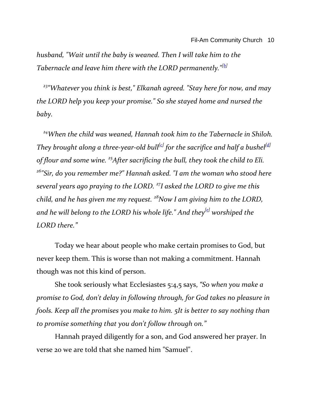*husband, "Wait until the baby is weaned. Then I will take him to the Tabernacle and leave him there with the LORD permanently."[\[b\]](http://www.biblegateway.com/passage/?search=1%20samuel%201:19-28;&version=51;#fen-NLT-7212b)*

*<sup>23</sup>"Whatever you think is best," Elkanah agreed. "Stay here for now, and may the LORD help you keep your promise." So she stayed home and nursed the baby.*

*<sup>24</sup>When the child was weaned, Hannah took him to the Tabernacle in Shiloh. They brought along a three-year-old bull[\[c\]](http://www.biblegateway.com/passage/?search=1%20samuel%201:19-28;&version=51;#fen-NLT-7214c) for the sacrifice and half a bushel[\[d\]](http://www.biblegateway.com/passage/?search=1%20samuel%201:19-28;&version=51;#fen-NLT-7214d) of flour and some wine. <sup>25</sup>After sacrificing the bull, they took the child to Eli. <sup>26</sup>"Sir, do you remember me?" Hannah asked. "I am the woman who stood here several years ago praying to the LORD. <sup>27</sup>I asked the LORD to give me this child, and he has given me my request. <sup>28</sup>Now I am giving him to the LORD, and he will belong to the LORD his whole life." And they[\[e\]](http://www.biblegateway.com/passage/?search=1%20samuel%201:19-28;&version=51;#fen-NLT-7218e) worshiped the LORD there."*

Today we hear about people who make certain promises to God, but never keep them. This is worse than not making a commitment. Hannah though was not this kind of person.

She took seriously what Ecclesiastes 5:4,5 says, *"So when you make a promise to God, don't delay in following through, for God takes no pleasure in fools. Keep all the promises you make to him. 5It is better to say nothing than to promise something that you don't follow through on."*

Hannah prayed diligently for a son, and God answered her prayer. In verse 20 we are told that she named him "Samuel".